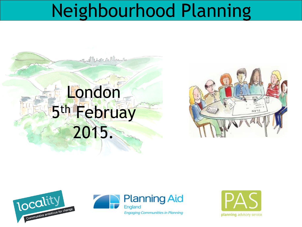### Neighbourhood Planning









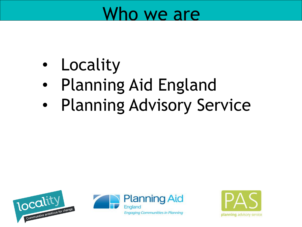### Who we are

- **Locality**
- Planning Aid England
- Planning Advisory Service





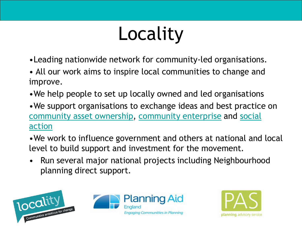# Locality

- •Leading nationwide network for community-led organisations.
- All our work aims to inspire local communities to change and improve.
- •We help people to set up locally owned and led organisations
- •We support organisations to exchange ideas and best practice on [community asset ownership](http://locality.org.uk/assets)[, c](http://locality.org.uk/social-action)[ommunity enterprise](http://locality.org.uk/community-enterprise/) and social action
- •We work to influence government and others at national and local level to build support and investment for the movement.
- Run several major national projects including Neighbourhood planning direct support.





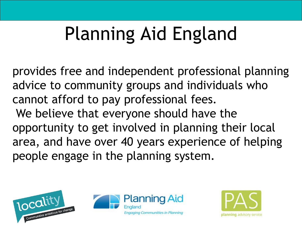# Planning Aid England

provides free and independent professional planning advice to community groups and individuals who cannot afford to pay professional fees. We believe that everyone should have the opportunity to get involved in planning their local area, and have over 40 years experience of helping people engage in the planning system.





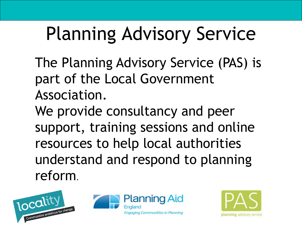## Planning Advisory Service

The Planning Advisory Service (PAS) is part of the Local Government Association.

We provide consultancy and peer support, training sessions and online resources to help local authorities understand and respond to planning reform.





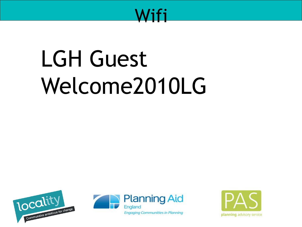

# **LGH Guest** Welcome2010LG





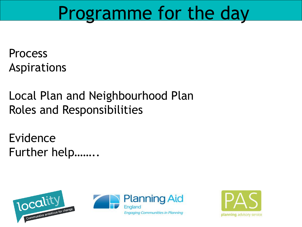### Programme for the day

Process Aspirations

### Local Plan and Neighbourhood Plan **Roles and Responsibilities**

Evidence Further help........





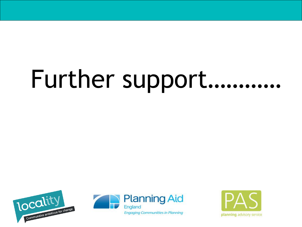# Further support...........





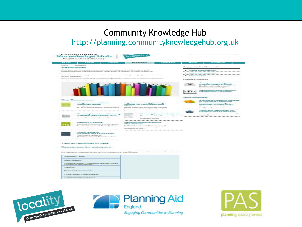#### Community Knowledge Hub [http://planning.communityknowledgehub.org.uk](http://planning.communityknowledgehub.org.uk/)

| Community<br>Knowledge Hub<br>Neighbourhood Planning                                                                                                                                                                                                                                                                                                                                                                                                                                                                                                             | <b>Locality</b>                                                                                                          | the first book of the company of the company of                                                                                                                                                              |
|------------------------------------------------------------------------------------------------------------------------------------------------------------------------------------------------------------------------------------------------------------------------------------------------------------------------------------------------------------------------------------------------------------------------------------------------------------------------------------------------------------------------------------------------------------------|--------------------------------------------------------------------------------------------------------------------------|--------------------------------------------------------------------------------------------------------------------------------------------------------------------------------------------------------------|
| <b>Ebout 1</b><br><b>Contactor</b><br><b>Systema</b>                                                                                                                                                                                                                                                                                                                                                                                                                                                                                                             | <b>Manufacture</b><br><b>Residentions</b>                                                                                | <b>Expanding</b>                                                                                                                                                                                             |
| PRODUCTS A Third construction                                                                                                                                                                                                                                                                                                                                                                                                                                                                                                                                    |                                                                                                                          |                                                                                                                                                                                                              |
| Resources                                                                                                                                                                                                                                                                                                                                                                                                                                                                                                                                                        |                                                                                                                          | Support the Network                                                                                                                                                                                          |
| PRover group road - Street power-Wood art to terminate and the Boston group and statement alongs and power-<br>investigate this case of an automobility presentation. Necessary the constitution, but a content relevations that<br>Highway at largest and count forms the books and company of the com-<br>and the property of the property of the<br>Act and structurent in the Control and Christmas Plant companies can know for the mail know<br>Witness control to the first control to the control to the first control and the control to the control to | the property of the complete service of the company of the company of the company of the                                 | <b>P. Intakie a supplet for</b><br><b>P.</b> Skilberick a resource<br>P Schooler the Souling<br>Labert Contents                                                                                              |
|                                                                                                                                                                                                                                                                                                                                                                                                                                                                                                                                                                  |                                                                                                                          | Groups avianted gram:<br>auggiors (direct support)<br>Three Document for options a result from the<br>a presentation where is accompanied from<br>Neighbourhood Planning<br>Machines Machinese<br>$ 1 - 24 $ |
|                                                                                                                                                                                                                                                                                                                                                                                                                                                                                                                                                                  |                                                                                                                          | Convolation Constitution means                                                                                                                                                                               |
| Key Resources                                                                                                                                                                                                                                                                                                                                                                                                                                                                                                                                                    |                                                                                                                          | to anyone including policies                                                                                                                                                                                 |
| <b>Nielphbaumood Plane</b>                                                                                                                                                                                                                                                                                                                                                                                                                                                                                                                                       | A guide to unting planning                                                                                               | too capinalam/w / gargervoow<br><b>Initiated thornal derivating</b>                                                                                                                                          |
| Roadmap Guide<br>This are appointed to the faces and the amount increased provid-                                                                                                                                                                                                                                                                                                                                                                                                                                                                                | pollicies for meighbourhood.<br>to Ramar                                                                                 | practiced in their MDP?<br>Clause investments and construction                                                                                                                                               |
| inc., we think discovery addressed a permetrise intent on                                                                                                                                                                                                                                                                                                                                                                                                                                                                                                        | Discount printers lengt privile item does continued                                                                      | schedule and the control is mostly than                                                                                                                                                                      |
|                                                                                                                                                                                                                                                                                                                                                                                                                                                                                                                                                                  | The count of the party of the control in the country of the con-                                                         | Tools and Templates for                                                                                                                                                                                      |
|                                                                                                                                                                                                                                                                                                                                                                                                                                                                                                                                                                  |                                                                                                                          | history/Hasturhood Planning                                                                                                                                                                                  |
| The Naighbourhood Planning                                                                                                                                                                                                                                                                                                                                                                                                                                                                                                                                       | $-$<br>Planning Practice Guildence                                                                                       | Phonese hidder at labels ad from Pharmoning.<br>Achillaneous Threediscor's communication can-                                                                                                                |
| IlGeneral Regulations 2012                                                                                                                                                                                                                                                                                                                                                                                                                                                                                                                                       | Latinual Characters record, match European                                                                               | discussioning supergent and                                                                                                                                                                                  |
| The company's transaction and a material process to the                                                                                                                                                                                                                                                                                                                                                                                                                                                                                                          | - primary decay provide as --                                                                                            |                                                                                                                                                                                                              |
|                                                                                                                                                                                                                                                                                                                                                                                                                                                                                                                                                                  |                                                                                                                          |                                                                                                                                                                                                              |
| Hieraphing is Simiplier.                                                                                                                                                                                                                                                                                                                                                                                                                                                                                                                                         | <b>NielgRibsunfriodd Planning:</b><br><b>INSED OF STARES</b>                                                             |                                                                                                                                                                                                              |
| Plannycking & Threspire to a street opposite.<br>by planning expect Torry Earlier.                                                                                                                                                                                                                                                                                                                                                                                                                                                                               | 5. Heraphilansehoused Filement moop 21.                                                                                  |                                                                                                                                                                                                              |
| Auto Streets paints -                                                                                                                                                                                                                                                                                                                                                                                                                                                                                                                                            | in-AmountAyer resume a memberal than EDCS/CL<br>and commentaring paints. When you                                        |                                                                                                                                                                                                              |
|                                                                                                                                                                                                                                                                                                                                                                                                                                                                                                                                                                  |                                                                                                                          |                                                                                                                                                                                                              |
| the shock third die too.<br><b>Nielphisourhood Planning</b><br>The Course & Capitale No.<br>Edental General Planners and Artists                                                                                                                                                                                                                                                                                                                                                                                                                                 |                                                                                                                          |                                                                                                                                                                                                              |
| prove an interest. Adequiting taking a                                                                                                                                                                                                                                                                                                                                                                                                                                                                                                                           |                                                                                                                          |                                                                                                                                                                                                              |
| the format and complete stresses they entered                                                                                                                                                                                                                                                                                                                                                                                                                                                                                                                    |                                                                                                                          |                                                                                                                                                                                                              |
| Resources by category                                                                                                                                                                                                                                                                                                                                                                                                                                                                                                                                            |                                                                                                                          |                                                                                                                                                                                                              |
| Drive in advisoring the proceduration for same said Show paramizations for threat same three-                                                                                                                                                                                                                                                                                                                                                                                                                                                                    | This was offered in this monogeneral index (20 month around the body press from selling grouping leading from Chick area |                                                                                                                                                                                                              |
| Planning Carry                                                                                                                                                                                                                                                                                                                                                                                                                                                                                                                                                   |                                                                                                                          |                                                                                                                                                                                                              |
| Change and others in the control of                                                                                                                                                                                                                                                                                                                                                                                                                                                                                                                              |                                                                                                                          |                                                                                                                                                                                                              |
| Economie planeti Economicaes reports/ Socio-                                                                                                                                                                                                                                                                                                                                                                                                                                                                                                                     |                                                                                                                          |                                                                                                                                                                                                              |
| <b>Programmer</b>                                                                                                                                                                                                                                                                                                                                                                                                                                                                                                                                                |                                                                                                                          |                                                                                                                                                                                                              |
| Photography Information consists:                                                                                                                                                                                                                                                                                                                                                                                                                                                                                                                                |                                                                                                                          |                                                                                                                                                                                                              |
| Community Consultation                                                                                                                                                                                                                                                                                                                                                                                                                                                                                                                                           |                                                                                                                          |                                                                                                                                                                                                              |
|                                                                                                                                                                                                                                                                                                                                                                                                                                                                                                                                                                  |                                                                                                                          |                                                                                                                                                                                                              |





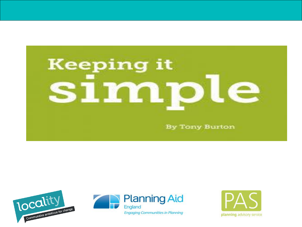





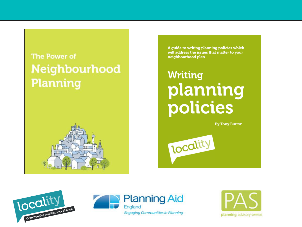### The Power of Neighbourhood **Planning**



A guide to writing planning policies which will address the issues that matter to your neighbourhood plan

### **Writing** planning policies

**By Tony Burton** 







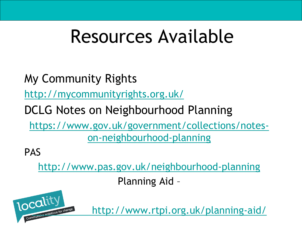### Resources Available

My Community Rights

<http://mycommunityrights.org.uk/>

DCLG Notes on Neighbourhood Planning

[https://www.gov.uk/government/collections/notes](https://www.gov.uk/government/collections/notes-on-neighbourhood-planning)on-neighbourhood-planning

PAS

<http://www.pas.gov.uk/neighbourhood-planning>

Planning Aid –



<http://www.rtpi.org.uk/planning-aid/>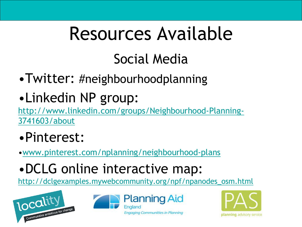## Resources Available

### Social Media

- •Twitter: #neighbourhoodplanning
- •Linkedin NP group:

[http://www.linkedin.com/groups/Neighbourhood-Planning-](http://www.linkedin.com/groups/Neighbourhood-Planning-3741603/about)3741603/about

- •Pinterest:
- •[www.pinterest.com/nplanning/neighbourhood-plans](http://www.pinterest.com/nplanning/neighbourhood-plans)
- •DCLG online interactive map:

[http://dclgexamples.mywebcommunity.org/npf/npanodes\\_osm.html](http://dclgexamples.mywebcommunity.org/npf/npanodes_osm.html)





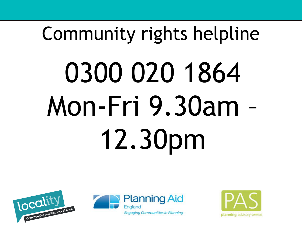# Community rights helpline 0300 020 1864 Mon-Fri 9.30am – 12.30pm





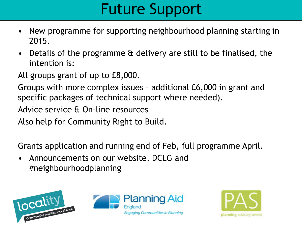### Future Support

- New programme for supporting neighbourhood planning starting in 2015.
- Details of the programme & delivery are still to be finalised, the intention is:

All groups grant of up to £8,000.

Groups with more complex issues – additional £6,000 in grant and specific packages of technical support where needed).

Advice service & On-line resources

Also help for Community Right to Build.

Grants application and running end of Feb, full programme April.

• Announcements on our website, DCLG and #neighbourhoodplanning